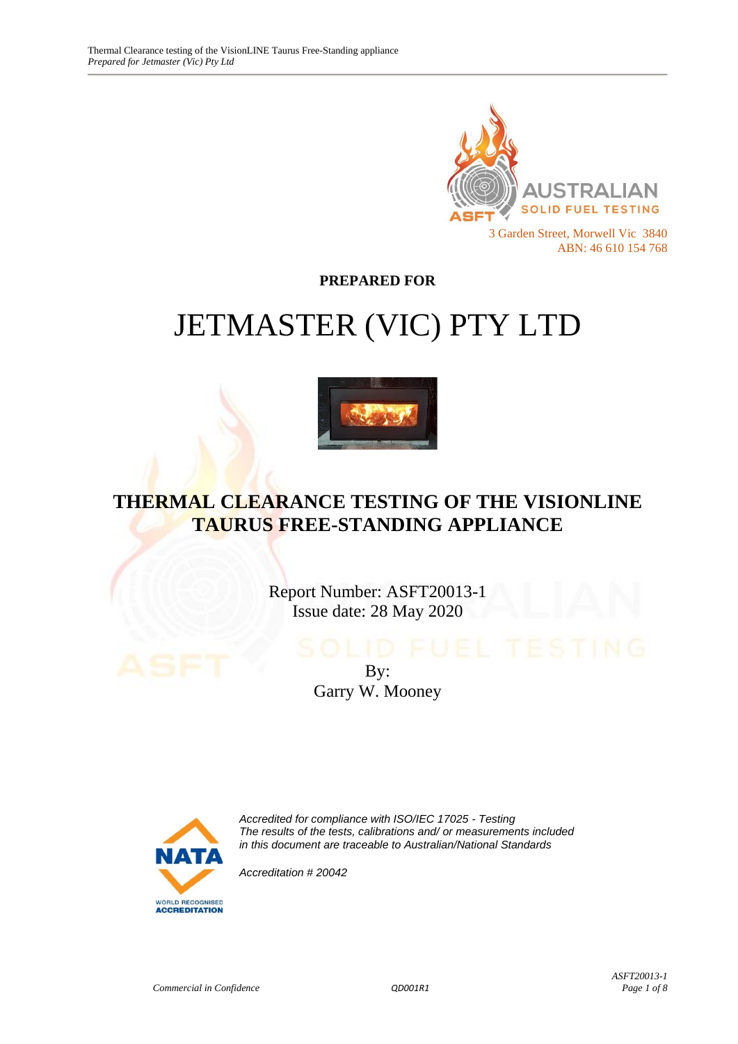

**PREPARED FOR**

# JETMASTER (VIC) PTY LTD



# **THERMAL CLEARANCE TESTING OF THE VISIONLINE TAURUS FREE-STANDING APPLIANCE**

Report Number: ASFT20013-1 Issue date: 28 May 2020

> By: Garry W. Mooney



*Accredited for compliance with ISO/IEC 17025 - Testing The results of the tests, calibrations and/ or measurements included in this document are traceable to Australian/National Standards*

*Accreditation # 20042*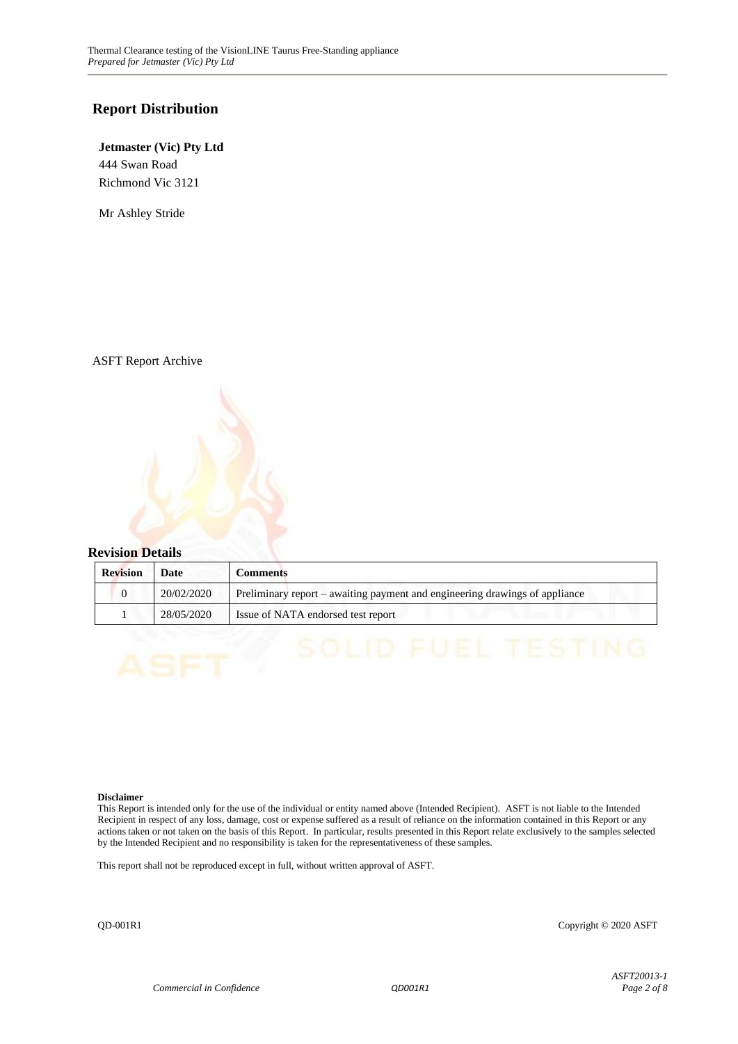#### **Report Distribution**

#### **Jetmaster (Vic) Pty Ltd** 444 Swan Road Richmond Vic 3121

Mr Ashley Stride

ASFT Report Archive

#### **Revision Details**

| <b>Revision</b> | Date       | <b>Comments</b>                                                             |
|-----------------|------------|-----------------------------------------------------------------------------|
|                 | 20/02/2020 | Preliminary report – awaiting payment and engineering drawings of appliance |
|                 | 28/05/2020 | Issue of NATA endorsed test report                                          |

#### **Disclaimer**

This Report is intended only for the use of the individual or entity named above (Intended Recipient). ASFT is not liable to the Intended Recipient in respect of any loss, damage, cost or expense suffered as a result of reliance on the information contained in this Report or any actions taken or not taken on the basis of this Report. In particular, results presented in this Report relate exclusively to the samples selected by the Intended Recipient and no responsibility is taken for the representativeness of these samples.

This report shall not be reproduced except in full, without written approval of ASFT.

QD-001R1 Copyright © 2020 ASFT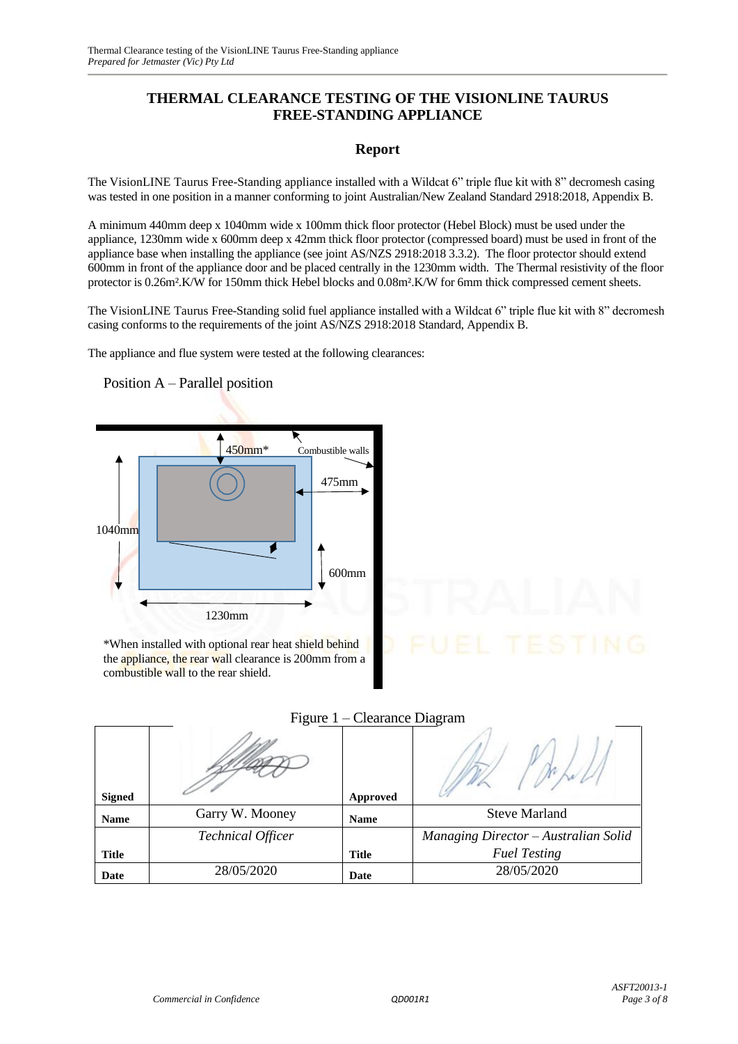# **THERMAL CLEARANCE TESTING OF THE VISIONLINE TAURUS FREE-STANDING APPLIANCE**

#### **Report**

The VisionLINE Taurus Free-Standing appliance installed with a Wildcat 6" triple flue kit with 8" decromesh casing was tested in one position in a manner conforming to joint Australian/New Zealand Standard 2918:2018, Appendix B.

A minimum 440mm deep x 1040mm wide x 100mm thick floor protector (Hebel Block) must be used under the appliance, 1230mm wide x 600mm deep x 42mm thick floor protector (compressed board) must be used in front of the appliance base when installing the appliance (see joint AS/NZS 2918:2018 3.3.2). The floor protector should extend 600mm in front of the appliance door and be placed centrally in the 1230mm width. The Thermal resistivity of the floor protector is 0.26m².K/W for 150mm thick Hebel blocks and 0.08m².K/W for 6mm thick compressed cement sheets.

The VisionLINE Taurus Free-Standing solid fuel appliance installed with a Wildcat 6" triple flue kit with 8" decromesh casing conforms to the requirements of the joint AS/NZS 2918:2018 Standard, Appendix B.

The appliance and flue system were tested at the following clearances:

450mm<sup>\*</sup> Combustible walls 475mm 1040mm 600mm 1230mm

\*When installed with optional rear heat shield behind the appliance, the rear wall clearance is 200mm from a combustible wall to the rear shield.

| Figure 1 – Clearance Diagram |  |  |
|------------------------------|--|--|
|                              |  |  |

| <b>Signed</b> |                          | Approved     | $\cdots$                             |
|---------------|--------------------------|--------------|--------------------------------------|
| <b>Name</b>   | Garry W. Mooney          | <b>Name</b>  | <b>Steve Marland</b>                 |
|               | <b>Technical Officer</b> |              | Managing Director - Australian Solid |
| <b>Title</b>  |                          | <b>Title</b> | <b>Fuel Testing</b>                  |
| Date          | 28/05/2020               | Date         | 28/05/2020                           |

Position A – Parallel position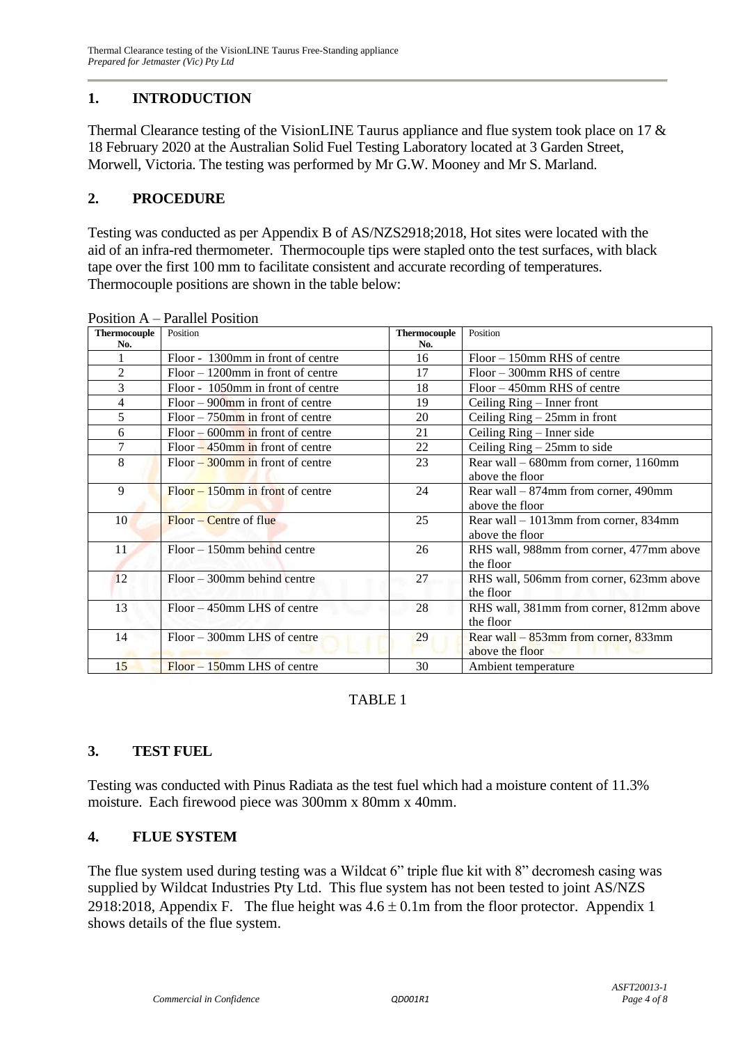# **1. INTRODUCTION**

Thermal Clearance testing of the VisionLINE Taurus appliance and flue system took place on 17 & 18 February 2020 at the Australian Solid Fuel Testing Laboratory located at 3 Garden Street, Morwell, Victoria. The testing was performed by Mr G.W. Mooney and Mr S. Marland.

# **2. PROCEDURE**

Testing was conducted as per Appendix B of AS/NZS2918;2018, Hot sites were located with the aid of an infra-red thermometer. Thermocouple tips were stapled onto the test surfaces, with black tape over the first 100 mm to facilitate consistent and accurate recording of temperatures. Thermocouple positions are shown in the table below:

| <b>Thermocouple</b> | Position                             | <b>Thermocouple</b> | Position                                 |
|---------------------|--------------------------------------|---------------------|------------------------------------------|
| No.                 |                                      | No.                 |                                          |
|                     | Floor - 1300mm in front of centre    | 16                  | $Floor - 150$ mm RHS of centre           |
| $\overline{c}$      | $Floor - 1200$ mm in front of centre | 17                  | $Floor - 300$ mm RHS of centre           |
| 3                   | Floor - 1050mm in front of centre    | 18                  | $Floor - 450$ mm RHS of centre           |
| 4                   | $Floor - 900$ mm in front of centre  | 19                  | Ceiling Ring – Inner front               |
| 5                   | $Floor-750$ mm in front of centre    | 20                  | Ceiling $Ring - 25mm$ in front           |
| 6                   | $Floor - 600$ mm in front of centre  | 21                  | Ceiling Ring – Inner side                |
| 7                   | $Floor - 450$ mm in front of centre  | 22                  | Ceiling $Ring - 25mm$ to side            |
| 8                   | $Floor - 300$ mm in front of centre  | 23                  | Rear wall – 680mm from corner, 1160mm    |
|                     |                                      |                     | above the floor                          |
| 9                   | $Floor - 150$ mm in front of centre  | 24                  | Rear wall $-874$ mm from corner, 490mm   |
|                     |                                      |                     | above the floor                          |
| 10                  | Floor – Centre of flue               | 25                  | Rear wall $-1013$ mm from corner, 834mm  |
|                     |                                      |                     | above the floor                          |
| 11                  | $Floor - 150$ mm behind centre       | 26                  | RHS wall, 988mm from corner, 477mm above |
|                     |                                      |                     | the floor                                |
| 12                  | $Floor - 300$ mm behind centre       | 27                  | RHS wall, 506mm from corner, 623mm above |
|                     |                                      |                     | the floor                                |
| 13                  | Floor – 450mm LHS of centre          | 28                  | RHS wall, 381mm from corner, 812mm above |
|                     |                                      |                     | the floor                                |
| 14                  | Floor – 300mm LHS of centre          | 29                  | Rear wall – 853mm from corner, 833mm     |
|                     |                                      |                     | above the floor                          |
| 15                  | $Floor - 150$ mm LHS of centre       | 30                  | Ambient temperature                      |

Position A – Parallel Position

# TABLE 1

# **3. TEST FUEL**

Testing was conducted with Pinus Radiata as the test fuel which had a moisture content of 11.3% moisture. Each firewood piece was 300mm x 80mm x 40mm.

# **4. FLUE SYSTEM**

The flue system used during testing was a Wildcat 6" triple flue kit with 8" decromesh casing was supplied by Wildcat Industries Pty Ltd. This flue system has not been tested to joint AS/NZS 2918:2018, Appendix F. The flue height was  $4.6 \pm 0.1$ m from the floor protector. Appendix 1 shows details of the flue system.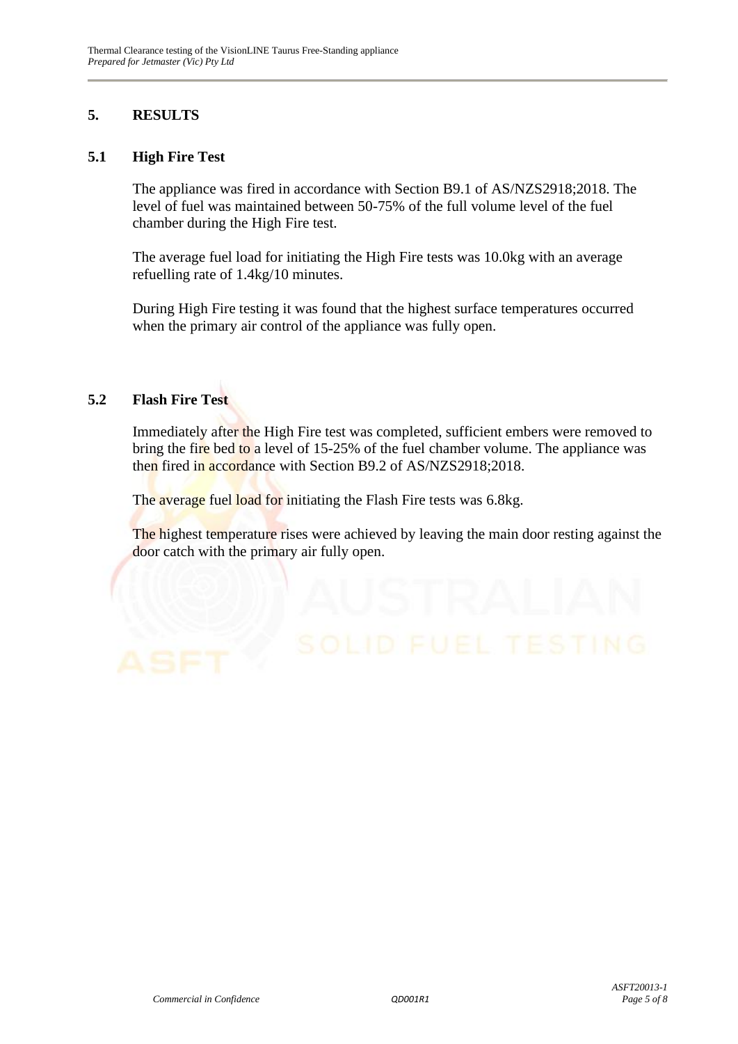# **5. RESULTS**

#### **5.1 High Fire Test**

The appliance was fired in accordance with Section B9.1 of AS/NZS2918;2018. The level of fuel was maintained between 50-75% of the full volume level of the fuel chamber during the High Fire test.

The average fuel load for initiating the High Fire tests was 10.0kg with an average refuelling rate of 1.4kg/10 minutes.

During High Fire testing it was found that the highest surface temperatures occurred when the primary air control of the appliance was fully open.

# **5.2 Flash Fire Test**

Immediately after the High Fire test was completed, sufficient embers were removed to bring the fire bed to a level of 15-25% of the fuel chamber volume. The appliance was then fired in accordance with Section B9.2 of AS/NZS2918;2018.

The average fuel load for initiating the Flash Fire tests was 6.8kg.

The highest temperature rises were achieved by leaving the main door resting against the door catch with the primary air fully open.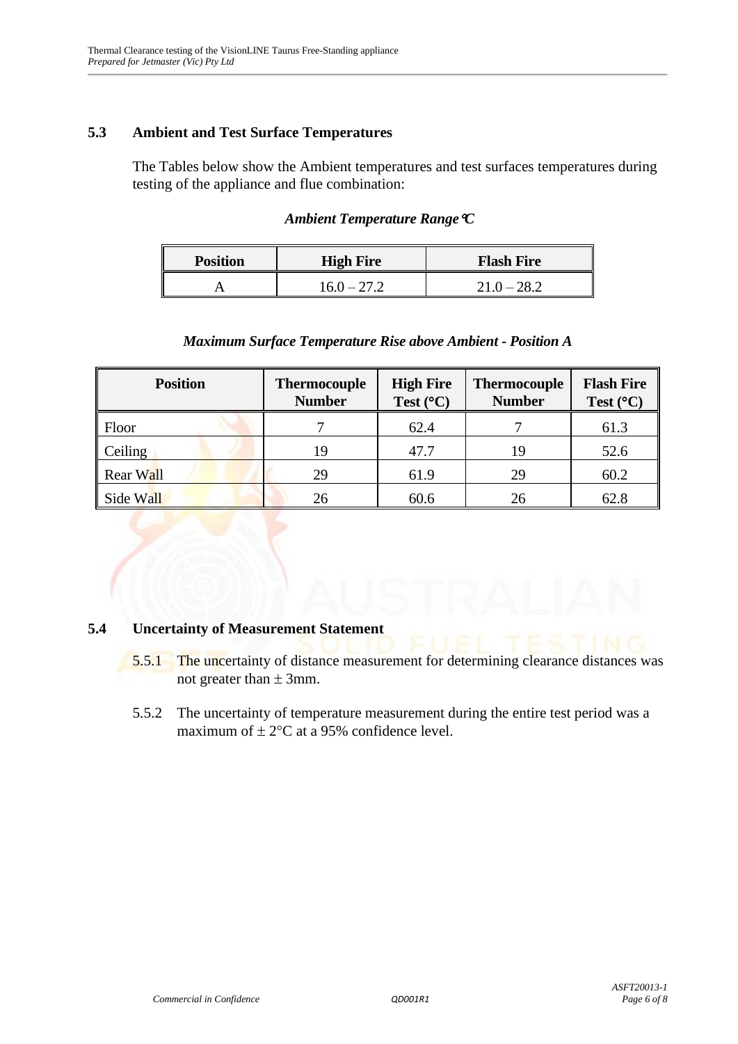# **5.3 Ambient and Test Surface Temperatures**

The Tables below show the Ambient temperatures and test surfaces temperatures during testing of the appliance and flue combination:

#### *Ambient Temperature RangeC*

| <b>Position</b> | <b>High Fire</b> | <b>Flash Fire</b> |  |  |
|-----------------|------------------|-------------------|--|--|
|                 | $16.0 - 27.2$    | $21.0 - 28.2$     |  |  |

#### *Maximum Surface Temperature Rise above Ambient - Position A*

| <b>Position</b> | <b>Thermocouple</b><br><b>Number</b> | <b>High Fire</b><br>Test $(^{\circ}C)$ | <b>Thermocouple</b><br><b>Number</b> | <b>Flash Fire</b><br>Test $(^{\circ}C)$ |
|-----------------|--------------------------------------|----------------------------------------|--------------------------------------|-----------------------------------------|
| Floor           |                                      | 62.4                                   |                                      | 61.3                                    |
| <b>Ceiling</b>  | 19                                   | 47.7                                   | 19                                   | 52.6                                    |
| Rear Wall       | 29                                   | 61.9                                   | 29                                   | 60.2                                    |
| Side Wall       | 26                                   | 60.6                                   | 26                                   | 62.8                                    |

#### **5.4 Uncertainty of Measurement Statement**

- 5.5.1 The uncertainty of distance measurement for determining clearance distances was not greater than  $\pm$  3mm.
- 5.5.2 The uncertainty of temperature measurement during the entire test period was a maximum of  $\pm 2$ °C at a 95% confidence level.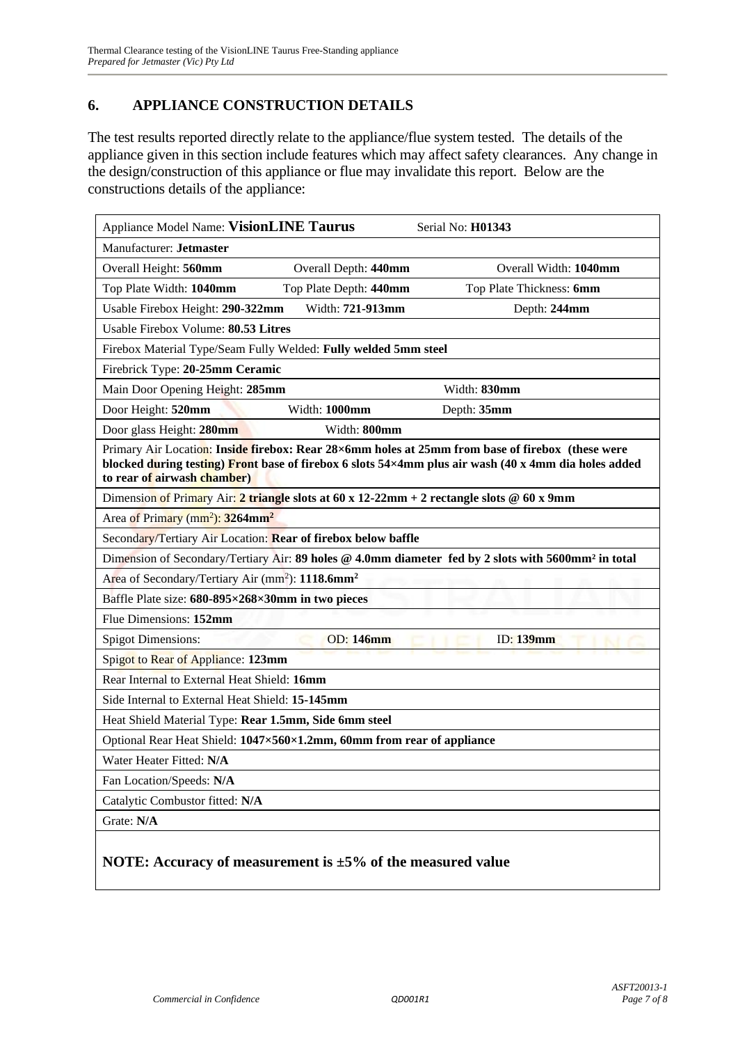# **6. APPLIANCE CONSTRUCTION DETAILS**

The test results reported directly relate to the appliance/flue system tested. The details of the appliance given in this section include features which may affect safety clearances. Any change in the design/construction of this appliance or flue may invalidate this report. Below are the constructions details of the appliance:

| Appliance Model Name: VisionLINE Taurus                                                                                                                                                                                                 | Serial No: H01343        |  |  |
|-----------------------------------------------------------------------------------------------------------------------------------------------------------------------------------------------------------------------------------------|--------------------------|--|--|
| Manufacturer: Jetmaster                                                                                                                                                                                                                 |                          |  |  |
| Overall Height: 560mm<br>Overall Depth: 440mm                                                                                                                                                                                           | Overall Width: 1040mm    |  |  |
| Top Plate Depth: 440mm<br>Top Plate Width: 1040mm                                                                                                                                                                                       | Top Plate Thickness: 6mm |  |  |
| Width: 721-913mm<br>Usable Firebox Height: 290-322mm                                                                                                                                                                                    | Depth: 244mm             |  |  |
| Usable Firebox Volume: 80.53 Litres                                                                                                                                                                                                     |                          |  |  |
| Firebox Material Type/Seam Fully Welded: Fully welded 5mm steel                                                                                                                                                                         |                          |  |  |
| Firebrick Type: 20-25mm Ceramic                                                                                                                                                                                                         |                          |  |  |
| Main Door Opening Height: 285mm                                                                                                                                                                                                         | Width: 830mm             |  |  |
| Door Height: 520mm<br>Width: 1000mm                                                                                                                                                                                                     | Depth: 35mm              |  |  |
| Width: 800mm<br>Door glass Height: 280mm                                                                                                                                                                                                |                          |  |  |
| Primary Air Location: Inside firebox: Rear 28×6mm holes at 25mm from base of firebox (these were<br>blocked during testing) Front base of firebox 6 slots 54×4mm plus air wash (40 x 4mm dia holes added<br>to rear of airwash chamber) |                          |  |  |
| Dimension of Primary Air: 2 triangle slots at 60 x 12-22mm + 2 rectangle slots @ 60 x 9mm                                                                                                                                               |                          |  |  |
| Area of Primary (mm <sup>2</sup> ): 3264mm <sup>2</sup>                                                                                                                                                                                 |                          |  |  |
| Secondary/Tertiary Air Location: Rear of firebox below baffle                                                                                                                                                                           |                          |  |  |
| Dimension of Secondary/Tertiary Air: 89 holes @ 4.0mm diameter fed by 2 slots with 5600mm <sup>2</sup> in total                                                                                                                         |                          |  |  |
| Area of Secondary/Tertiary Air (mm <sup>2</sup> ): 1118.6mm <sup>2</sup>                                                                                                                                                                |                          |  |  |
| Baffle Plate size: 680-895×268×30mm in two pieces                                                                                                                                                                                       |                          |  |  |
| Flue Dimensions: 152mm                                                                                                                                                                                                                  |                          |  |  |
| <b>OD:</b> 146mm<br><b>Spigot Dimensions:</b>                                                                                                                                                                                           | <b>ID:</b> 139mm         |  |  |
| Spigot to Rear of Appliance: 123mm                                                                                                                                                                                                      |                          |  |  |
| Rear Internal to External Heat Shield: 16mm                                                                                                                                                                                             |                          |  |  |
| Side Internal to External Heat Shield: 15-145mm                                                                                                                                                                                         |                          |  |  |
| Heat Shield Material Type: Rear 1.5mm, Side 6mm steel                                                                                                                                                                                   |                          |  |  |
| Optional Rear Heat Shield: 1047×560×1.2mm, 60mm from rear of appliance                                                                                                                                                                  |                          |  |  |
| Water Heater Fitted: N/A                                                                                                                                                                                                                |                          |  |  |
| Fan Location/Speeds: N/A                                                                                                                                                                                                                |                          |  |  |
| Catalytic Combustor fitted: N/A                                                                                                                                                                                                         |                          |  |  |
| Grate: N/A                                                                                                                                                                                                                              |                          |  |  |
| NOTE: Accuracy of measurement is $\pm 5\%$ of the measured value                                                                                                                                                                        |                          |  |  |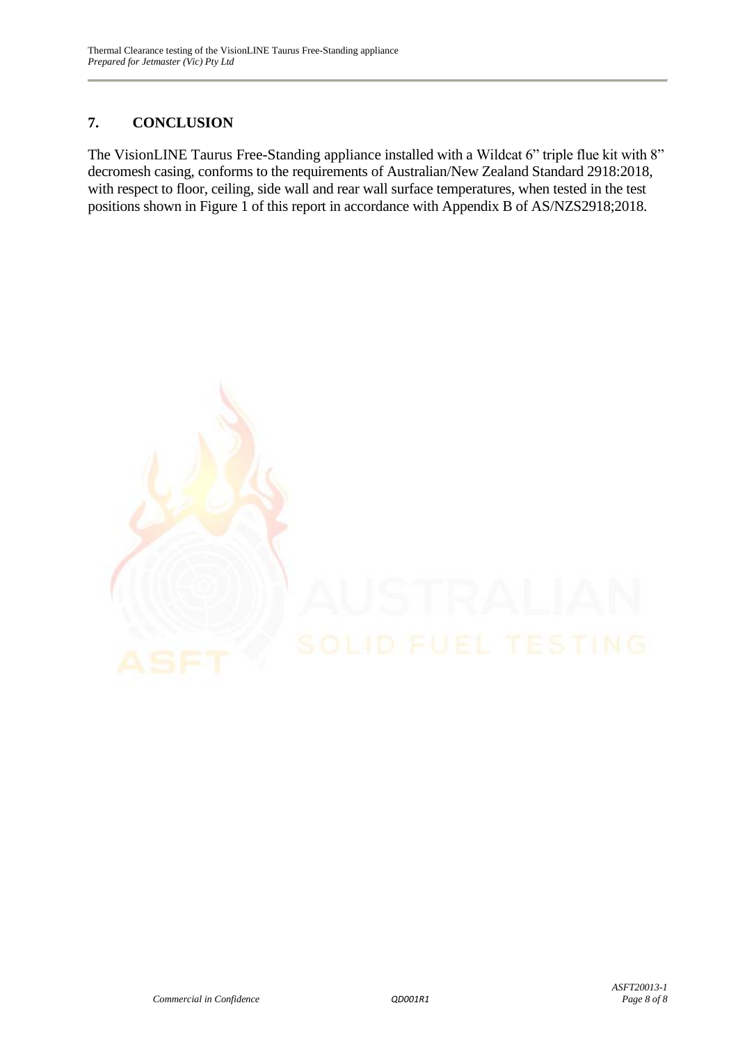# **7. CONCLUSION**

The VisionLINE Taurus Free-Standing appliance installed with a Wildcat 6" triple flue kit with 8" decromesh casing, conforms to the requirements of Australian/New Zealand Standard 2918:2018, with respect to floor, ceiling, side wall and rear wall surface temperatures, when tested in the test positions shown in Figure 1 of this report in accordance with Appendix B of AS/NZS2918;2018.